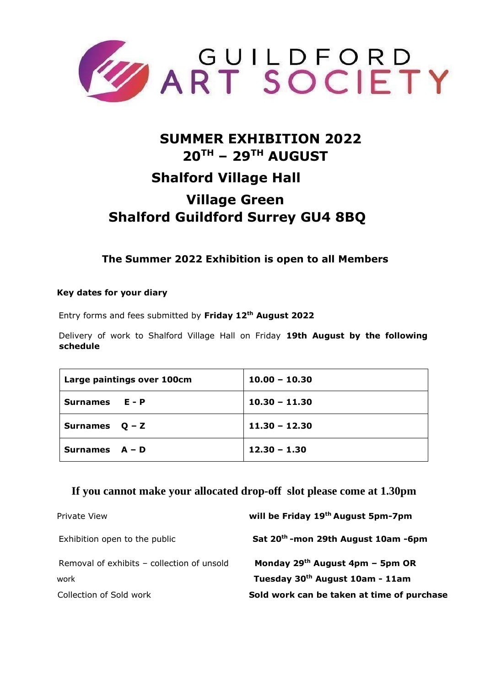

# **SUMMER EXHIBITION 2022 20TH – 29TH AUGUST Shalford Village Hall Village Green Shalford Guildford Surrey GU4 8BQ**

**The Summer 2022 Exhibition is open to all Members** 

# **Key dates for your diary**

Entry forms and fees submitted by **Friday 12th August 2022**

Delivery of work to Shalford Village Hall on Friday **19th August by the following schedule** 

| Large paintings over 100cm | $10.00 - 10.30$ |
|----------------------------|-----------------|
| Surnames E - P             | $10.30 - 11.30$ |
| Surnames $Q - Z$           | $11.30 - 12.30$ |
| Surnames $A - D$           | $12.30 - 1.30$  |

# **If you cannot make your allocated drop-off slot please come at 1.30pm**

| Private View                               | will be Friday 19th August 5pm-7pm              |
|--------------------------------------------|-------------------------------------------------|
| Exhibition open to the public              | Sat 20 <sup>th</sup> -mon 29th August 10am -6pm |
| Removal of exhibits - collection of unsold | Monday $29th$ August 4pm – 5pm OR               |
| work                                       | Tuesday 30 <sup>th</sup> August 10am - 11am     |
| Collection of Sold work                    | Sold work can be taken at time of purchase      |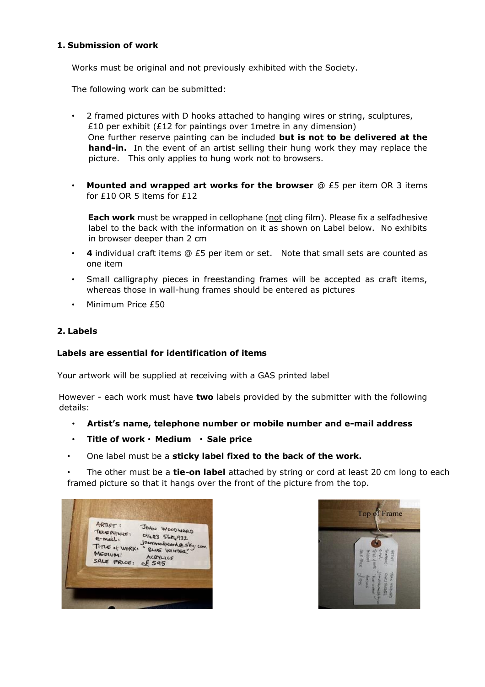# **1. Submission of work**

Works must be original and not previously exhibited with the Society.

The following work can be submitted:

- 2 framed pictures with D hooks attached to hanging wires or string, sculptures, £10 per exhibit (£12 for paintings over 1metre in any dimension) One further reserve painting can be included **but is not to be delivered at the hand-in.** In the event of an artist selling their hung work they may replace the picture. This only applies to hung work not to browsers.
- **Mounted and wrapped art works for the browser** @ £5 per item OR 3 items for £10 OR 5 items for £12

**Each work** must be wrapped in cellophane (not cling film). Please fix a selfadhesive label to the back with the information on it as shown on Label below. No exhibits in browser deeper than 2 cm

- **4** individual craft items @ £5 per item or set. Note that small sets are counted as one item
- Small calligraphy pieces in freestanding frames will be accepted as craft items, whereas those in wall-hung frames should be entered as pictures
- Minimum Price £50

# **2. Labels**

#### **Labels are essential for identification of items**

Your artwork will be supplied at receiving with a GAS printed label

However - each work must have **two** labels provided by the submitter with the following details:

- **Artist's name, telephone number or mobile number and e-mail address**
- **Title of work Medium Sale price**
- One label must be a **sticky label fixed to the back of the work.**

• The other must be a **tie-on label** attached by string or cord at least 20 cm long to each framed picture so that it hangs over the front of the picture from the top.

| ARTIST:<br>JOAN WOODWARD<br>TELEPHONE:<br>01483 5684932<br>$e$ -mail:<br>Joanwoodward@sky.com<br>TITLE of WORKS<br>" BLUE WINTER"<br>MEDIUM:<br>ACRYLICS<br>SALE PRICE:<br>\$595 |
|----------------------------------------------------------------------------------------------------------------------------------------------------------------------------------|
|----------------------------------------------------------------------------------------------------------------------------------------------------------------------------------|

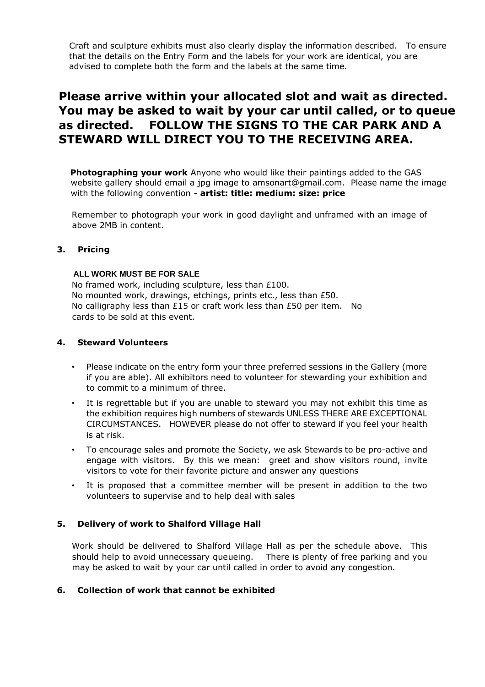Craft and sculpture exhibits must also clearly display the information described. To ensure that the details on the Entry Form and the labels for your work are identical, you are advised to complete both the form and the labels at the same time.

# **Please arrive within your allocated slot and wait as directed. You may be asked to wait by your car until called, or to queue as directed. FOLLOW THE SIGNS TO THE CAR PARK AND A STEWARD WILL DIRECT YOU TO THE RECEIVING AREA.**

**Photographing your work** Anyone who would like their paintings added to the GAS website gallery should email a jpg image to amsonart@gmail.com. Please name the image with the following convention - **artist: title: medium: size: price** 

Remember to photograph your work in good daylight and unframed with an image of above 2MB in content.

# **3. Pricing**

#### **ALL WORK MUST BE FOR SALE**

No framed work, including sculpture, less than £100. No mounted work, drawings, etchings, prints etc., less than £50. No calligraphy less than £15 or craft work less than £50 per item. No cards to be sold at this event.

#### **4. Steward Volunteers**

- Please indicate on the entry form your three preferred sessions in the Gallery (more if you are able). All exhibitors need to volunteer for stewarding your exhibition and to commit to a minimum of three.
- It is regrettable but if you are unable to steward you may not exhibit this time as the exhibition requires high numbers of stewards UNLESS THERE ARE EXCEPTIONAL CIRCUMSTANCES. HOWEVER please do not offer to steward if you feel your health is at risk.
- To encourage sales and promote the Society, we ask Stewards to be pro-active and engage with visitors. By this we mean: greet and show visitors round, invite visitors to vote for their favorite picture and answer any questions
- It is proposed that a committee member will be present in addition to the two volunteers to supervise and to help deal with sales

#### **5. Delivery of work to Shalford Village Hall**

Work should be delivered to Shalford Village Hall as per the schedule above. This should help to avoid unnecessary queueing. There is plenty of free parking and you may be asked to wait by your car until called in order to avoid any congestion.

#### **6. Collection of work that cannot be exhibited**